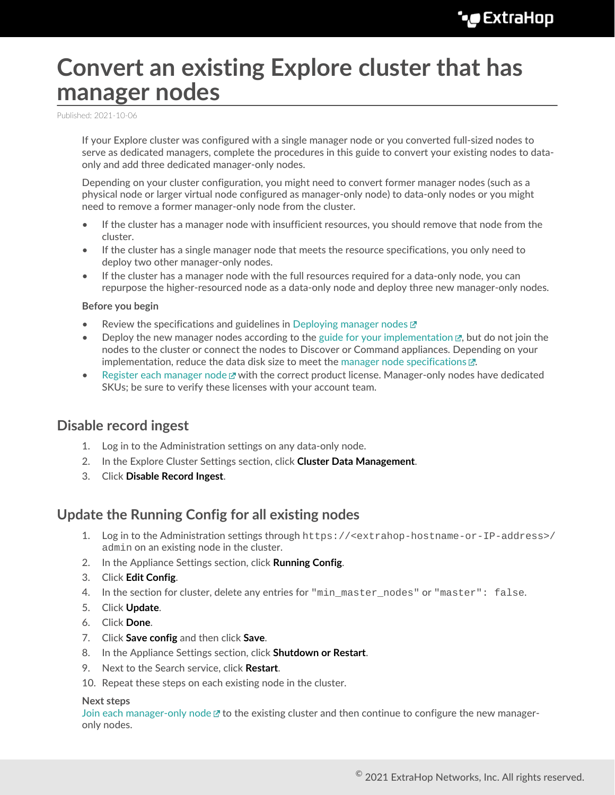# **Convert an existing Explore cluster that has manager nodes**

Published: 2021-10-06

If your Explore cluster was configured with a single manager node or you converted full-sized nodes to serve as dedicated managers, complete the procedures in this guide to convert your existing nodes to dataonly and add three dedicated manager-only nodes.

Depending on your cluster configuration, you might need to convert former manager nodes (such as a physical node or larger virtual node configured as manager-only node) to data-only nodes or you might need to remove a former manager-only node from the cluster.

- If the cluster has a manager node with insufficient resources, you should remove that node from the cluster.
- If the cluster has a single manager node that meets the resource specifications, you only need to deploy two other manager-only nodes.
- If the cluster has a manager node with the full resources required for a data-only node, you can repurpose the higher-resourced node as a data-only node and deploy three new manager-only nodes.

#### **Before you begin**

- Review the specifications and guidelines in [Deploying manager nodes](https://docs.extrahop.com/8.7/deploy-exa-master)  $\mathbb{Z}$
- Deploy the new manager nodes according to the guide for your implementation  $\mathbb{E}$ , but do not join the nodes to the cluster or connect the nodes to Discover or Command appliances. Depending on your implementation, reduce the data disk size to meet the [manager node specifications](https://docs.extrahop.com/8.7/deploy-exa-master/#manager-node-specifications)  $\mathbb{Z}$ .
- [Register each manager node](https://docs.extrahop.com/8.7/register-appliance)  $\mathbb Z$  with the correct product license. Manager-only nodes have dedicated SKUs; be sure to verify these licenses with your account team.

### **Disable record ingest**

- 1. Log in to the Administration settings on any data-only node.
- 2. In the Explore Cluster Settings section, click **Cluster Data Management**.
- 3. Click **Disable Record Ingest**.

### **Update the Running Config for all existing nodes**

- 1. Log in to the Administration settings through https://<extrahop-hostname-or-IP-address>/ admin on an existing node in the cluster.
- 2. In the Appliance Settings section, click **Running Config**.
- 3. Click **Edit Config**.
- 4. In the section for cluster, delete any entries for "min master nodes" or "master": false.
- 5. Click **Update**.
- 6. Click **Done**.
- 7. Click **Save config** and then click **Save**.
- 8. In the Appliance Settings section, click **Shutdown or Restart**.
- 9. Next to the Search service, click **Restart**.
- 10. Repeat these steps on each existing node in the cluster.

#### **Next steps**

[Join each manager-only node](https://docs.extrahop.com/8.7/deploy-exa/#create-an-explore-cluster)  $\mathbb{F}$  to the existing cluster and then continue to configure the new manageronly nodes.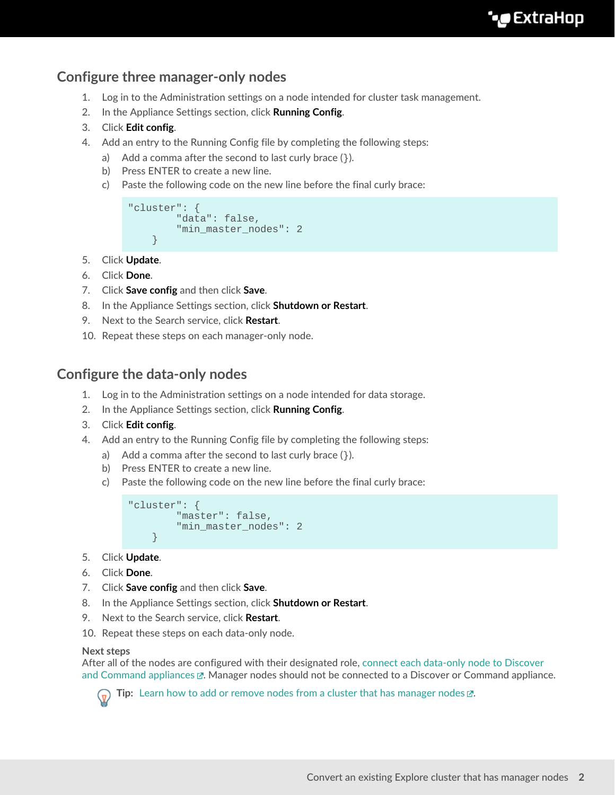# **Configure three manager-only nodes**

- 1. Log in to the Administration settings on a node intended for cluster task management.
- 2. In the Appliance Settings section, click **Running Config**.
- 3. Click **Edit config**.
- 4. Add an entry to the Running Config file by completing the following steps:
	- a) Add a comma after the second to last curly brace  $($ }).
	- b) Press ENTER to create a new line.
	- c) Paste the following code on the new line before the final curly brace:

```
"cluster": {
   "data": false,
    "min_master_nodes": 2
}
```
- 5. Click **Update**.
- 6. Click **Done**.
- 7. Click **Save config** and then click **Save**.
- 8. In the Appliance Settings section, click **Shutdown or Restart**.
- 9. Next to the Search service, click **Restart**.
- 10. Repeat these steps on each manager-only node.

### **Configure the data-only nodes**

- 1. Log in to the Administration settings on a node intended for data storage.
- 2. In the Appliance Settings section, click **Running Config**.
- 3. Click **Edit config**.
- 4. Add an entry to the Running Config file by completing the following steps:
	- a) Add a comma after the second to last curly brace  $($ }).
	- b) Press ENTER to create a new line.
	- c) Paste the following code on the new line before the final curly brace:

```
"cluster": {
   "master": false,
   "min master nodes": 2
}
```
- 5. Click **Update**.
- 6. Click **Done**.
- 7. Click **Save config** and then click **Save**.
- 8. In the Appliance Settings section, click **Shutdown or Restart**.
- 9. Next to the Search service, click **Restart**.
- 10. Repeat these steps on each data-only node.

#### **Next steps**

After all of the nodes are configured with their designated role, [connect each data-only node to Discover](https://docs.extrahop.com/8.7/connect-eda-eca-exa) and Command appliances  $\mathbb{Z}$ . Manager nodes should not be connected to a Discover or Command appliance.



**Tip:** [Learn how to add or remove nodes from a cluster that has manager nodes](https://docs.extrahop.com/8.7/exa-master-add-remove)  $\mathbb{Z}$ .